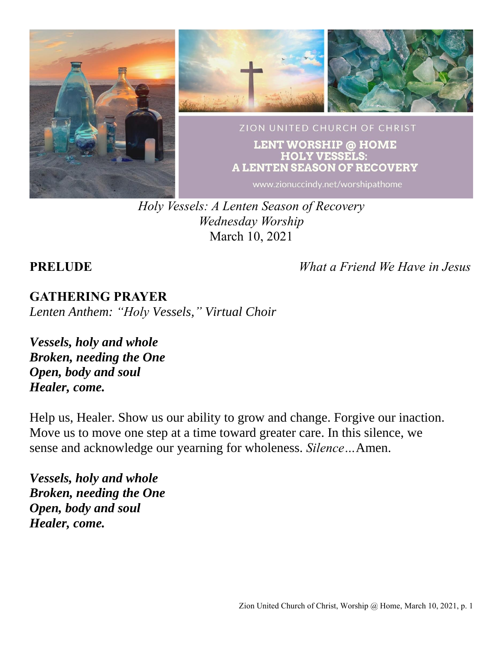

*Holy Vessels: A Lenten Season of Recovery Wednesday Worship* March 10, 2021

**PRELUDE** *What a Friend We Have in Jesus*

# **GATHERING PRAYER**

*Lenten Anthem: "Holy Vessels," Virtual Choir*

*Vessels, holy and whole Broken, needing the One Open, body and soul Healer, come.*

Help us, Healer. Show us our ability to grow and change. Forgive our inaction. Move us to move one step at a time toward greater care. In this silence, we sense and acknowledge our yearning for wholeness. *Silence…*Amen.

*Vessels, holy and whole Broken, needing the One Open, body and soul Healer, come.*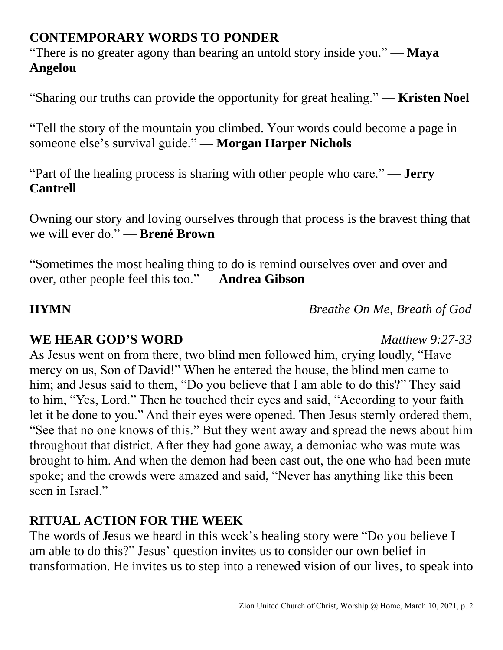## **CONTEMPORARY WORDS TO PONDER**

"There is no greater agony than bearing an untold story inside you." **— Maya Angelou**

"Sharing our truths can provide the opportunity for great healing." **— Kristen Noel**

"Tell the story of the mountain you climbed. Your words could become a page in someone else's survival guide." **— Morgan Harper Nichols**

"Part of the healing process is sharing with other people who care." **— Jerry Cantrell**

Owning our story and loving ourselves through that process is the bravest thing that we will ever do." **— Brené Brown**

"Sometimes the most healing thing to do is remind ourselves over and over and over, other people feel this too." **— Andrea Gibson**

**HYMN** *Breathe On Me, Breath of God*

### **WE HEAR GOD'S WORD** *Matthew 9:27-33*

As Jesus went on from there, two blind men followed him, crying loudly, "Have mercy on us, Son of David!" When he entered the house, the blind men came to him; and Jesus said to them, "Do you believe that I am able to do this?" They said to him, "Yes, Lord." Then he touched their eyes and said, "According to your faith let it be done to you." And their eyes were opened. Then Jesus sternly ordered them, "See that no one knows of this." But they went away and spread the news about him throughout that district. After they had gone away, a demoniac who was mute was brought to him. And when the demon had been cast out, the one who had been mute spoke; and the crowds were amazed and said, "Never has anything like this been seen in Israel."

## **RITUAL ACTION FOR THE WEEK**

The words of Jesus we heard in this week's healing story were "Do you believe I am able to do this?" Jesus' question invites us to consider our own belief in transformation. He invites us to step into a renewed vision of our lives, to speak into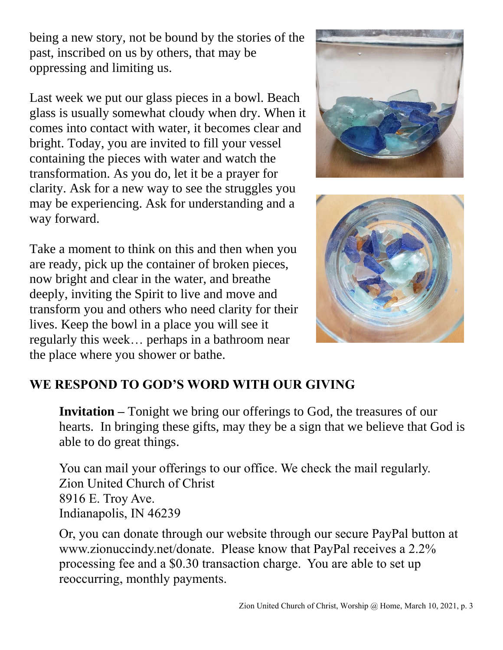being a new story, not be bound by the stories of the past, inscribed on us by others, that may be oppressing and limiting us.

Last week we put our glass pieces in a bowl. Beach glass is usually somewhat cloudy when dry. When it comes into contact with water, it becomes clear and bright. Today, you are invited to fill your vessel containing the pieces with water and watch the transformation. As you do, let it be a prayer for clarity. Ask for a new way to see the struggles you may be experiencing. Ask for understanding and a way forward.

Take a moment to think on this and then when you are ready, pick up the container of broken pieces, now bright and clear in the water, and breathe deeply, inviting the Spirit to live and move and transform you and others who need clarity for their lives. Keep the bowl in a place you will see it regularly this week… perhaps in a bathroom near the place where you shower or bathe.





# **WE RESPOND TO GOD'S WORD WITH OUR GIVING**

**Invitation –** Tonight we bring our offerings to God, the treasures of our hearts. In bringing these gifts, may they be a sign that we believe that God is able to do great things.

You can mail your offerings to our office. We check the mail regularly. Zion United Church of Christ 8916 E. Troy Ave. Indianapolis, IN 46239

Or, you can donate through our website through our secure PayPal button at www.zionuccindy.net/donate. Please know that PayPal receives a 2.2% processing fee and a \$0.30 transaction charge. You are able to set up reoccurring, monthly payments.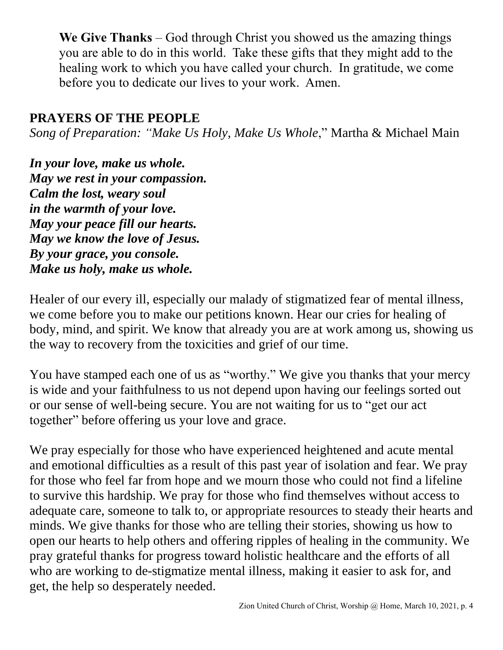**We Give Thanks** – God through Christ you showed us the amazing things you are able to do in this world. Take these gifts that they might add to the healing work to which you have called your church. In gratitude, we come before you to dedicate our lives to your work. Amen.

### **PRAYERS OF THE PEOPLE**

*Song of Preparation: "Make Us Holy, Make Us Whole*," Martha & Michael Main

*In your love, make us whole. May we rest in your compassion. Calm the lost, weary soul in the warmth of your love. May your peace fill our hearts. May we know the love of Jesus. By your grace, you console. Make us holy, make us whole.*

Healer of our every ill, especially our malady of stigmatized fear of mental illness, we come before you to make our petitions known. Hear our cries for healing of body, mind, and spirit. We know that already you are at work among us, showing us the way to recovery from the toxicities and grief of our time.

You have stamped each one of us as "worthy." We give you thanks that your mercy is wide and your faithfulness to us not depend upon having our feelings sorted out or our sense of well-being secure. You are not waiting for us to "get our act together" before offering us your love and grace.

We pray especially for those who have experienced heightened and acute mental and emotional difficulties as a result of this past year of isolation and fear. We pray for those who feel far from hope and we mourn those who could not find a lifeline to survive this hardship. We pray for those who find themselves without access to adequate care, someone to talk to, or appropriate resources to steady their hearts and minds. We give thanks for those who are telling their stories, showing us how to open our hearts to help others and offering ripples of healing in the community. We pray grateful thanks for progress toward holistic healthcare and the efforts of all who are working to de-stigmatize mental illness, making it easier to ask for, and get, the help so desperately needed.